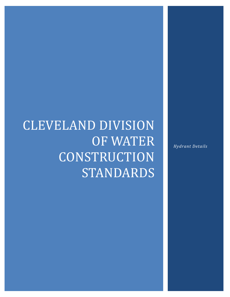# CLEVELAND DIVISION OF WATER CONSTRUCTION **STANDARDS**

*Hydrant Details*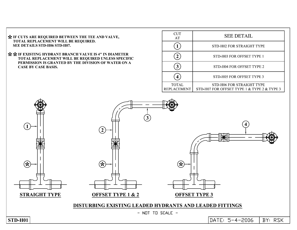IF CUTS ARE REQUIRED BETWEEN THE TEE AND VALV TOTAL REPLACEMENT WILL BE REQUIRED. SEE DETAILS STD-H06 STD-H07.

\*\* IF EXISTING HYDRANT BRANCH VALVE IS 4" IN DIAMETER TOTAL REPLACEMENT WILL BE REQUIRED UNLESS SPECIFIC PERMISSION IS GRANTED BY THE DIVISION OF WATER ON A **CASE BY CASE BASIS.** 

| CUT<br>AT                          | <b>SEE DETAIL</b>                                                        |
|------------------------------------|--------------------------------------------------------------------------|
|                                    | STD-H02 FOR STRAIGHT TYPE                                                |
|                                    | STD-H03 FOR OFFSET TYPE 1                                                |
|                                    | STD-H04 FOR OFFSET TYPE 2                                                |
|                                    | STD-H05 FOR OFFSET TYPE 3                                                |
| <b>TOTAL</b><br><b>REPLACEMENT</b> | STD-H06 FOR STRAIGHT TYPE<br>STD-H07 FOR OFFSET TYPE 1 & TYPE 2 & TYPE 3 |

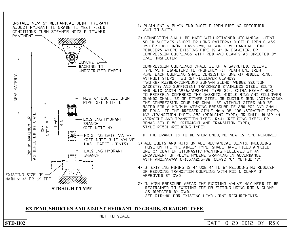

- 1) PLAIN END x PLAIN END DUCTILE IRON PIPE AS SPECIFIED (CUT TO SUIT).
- 2) CONNECTION SHALL BE MADE WITH RETAINED MECHANICAL JOINT SOLID SLEEVES (SHORT OR LONG PATTERN) DUCTILE IRON CLASS 350 OR CAST IRON CLASS 250, RETAINED MECHANICAL JOINT REDUCERS WHERE EXISTING PIPE IS 4" IN DIAMETER, OR COMPRESSION COUPLINGS WITH ROD AND CLAMPS AS DIRECTED BY C.W.D. INSPECTOR.

COMPRESSION COUPLINGS SHALL BE OF A GASKETED, SLEEVE TYPE WITH DIAMETERS TO PROPERLY FIT PLAIN END IRON PIPE, EACH COUPLING SHALL CONSIST OF ONE (1) MIDDLE RING, WITHOUT STOPS; TWO (2) FOLLOWER GLANDS; TWO (2) RUBBER-COMPOUND BUNA-N BLEND, WEDGE SECTION GASKETS; AND SUFFICIENT TRACKHEAD STAINLESS STEEL BOLTS AND NUTS (ASTM A276/A193/194, TYPE 304, EXTRA HEAVY HEX) TO PROPERLY COMPRESS THE GASKETS. MIDDLE RING AND FOLLOWER GLANDS SHALL BE OF EITHER STEEL OR DUCTILE IRON (ASTM-A536). THE COMPRESSION COUPLING SHALL BE WITHOUT STOPS AND BE RATED FOR A MINIMUM WORKING PRESSURE OF 250 PSI AND SHALL BE EQUAL TO THE DRESSER STYLE No's 38, 138 (STRAIGHT TYPE), 162 (TRANSITION TYPE), 253 (REDUCING TYPE); OR SMITH-BLAIR 441 (STRAIGHT AND TRANSITION TYPE), R441 (REDUCING TYPE); OR ROMAC STYLE 501 (STRAIGHT AND TRANSITION TYPE), STYLE RC501 (REDUCING TYPE).

IF THE BRANCH IS TO BE SHORTENED, NO NEW IS PIPE REQUIRED.

- 3) ALL BOLTS AND NUTS ON ALL MECHANICAL JOINTS, INCLUDING THOSE ON THE "RETAINED" TYPE, SHALL HAVE FIELD APPLIED ONE (1) COAT OF BITUMASTIC PAINTING FOLLOWED BY AN ENCASEMENT OF POLYETHYLENE WRAPPING IN ACCORDANCE WITH ANSI/AWWA C-105/A21.5-88, CLASS "C", METHOD "B".
- 4) IF EXISTING PIPING IS 4" USE 4" TO 6" REDUCING MJ REDUCER OR REDUCING TRANSITION COUPLING WITH ROD & CLAMP IF APPROVED BY CWD.
- 5) IN HIGH PRESSURE AREAS THE EXISTING VALVE MAY NEED TO BE RESTRAINED TO EXISTING TEE OR FITTING USING ROD & CLAMP AS DIRECTED BY CWD. SEE STD-H01 FOR EXISTING LEAD JOINT REQUIREMENTS.

#### EXTEND, SHORTEN AND ADJUST HYDRANT TO GRADE, STRAIGHT TYPE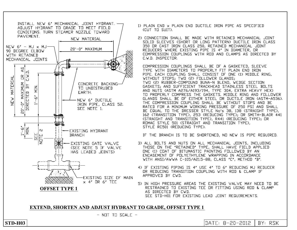

- 1) PLAIN END x PLAIN END DUCTILE IRON PIPE AS SPECIFIED (CUT TO SUIT).
- 2) CONNECTION SHALL BE MADE WITH RETAINED MECHANICAL JOINT SOLID SLEEVES (SHORT OR LONG PATTERN) DUCTILE IRON CLASS 350 OR CAST IRON CLASS 250, RETAINED MECHANICAL JOINT REDUCERS WHERE EXISTING PIPE IS 4" IN DIAMETER, OR COMPRESSION COUPLINGS WITH ROD AND CLAMPS AS DIRECTED BY C.W.D. INSPECTOR.

COMPRESSION COUPLINGS SHALL BE OF A GASKETED, SLEEVE TYPE WITH DIAMETERS TO PROPERLY FIT PLAIN END IRON PIPE, EACH COUPLING SHALL CONSIST OF ONE (1) MIDDLE RING, WITHOUT STOPS; TWO (2) FOLLOWER GLANDS; TWO (2) RUBBER-COMPOUND BUNA-N BLEND, WEDGE SECTION GASKETS; AND SUFFICIENT TRACKHEAD STAINLESS STEEL BOLTS AND NUTS (ASTM A276/A193/194, TYPE 304, EXTRA HEAVY HEX) TO PROPERLY COMPRESS THE GASKETS, MIDDLE RING AND FOLLOWER GLANDS SHALL BE OF EITHER STEEL OR DUCTILE IRON (ASTM-A536). THE COMPRESSION COUPLING SHALL BE WITHOUT STOPS AND BE RATED FOR A MINIMUM WORKING PRESSURE OF 250 PSI AND SHALL BE EQUAL TO THE DRESSER STYLE No's 38, 138 (STRAIGHT TYPE), 162 (TRANSITION TYPE), 253 (REDUCING TYPE); OR SMITH-BLAIR 441 (STRAIGHT AND TRANSITION TYPE), R441 (REDUCING TYPE); OR ROMAC STYLE 501 (STRAIGHT AND TRANSITION TYPE), STYLE RC501 (REDUCING TYPE).

IF THE BRANCH IS TO BE SHORTENED, NO NEW IS PIPE REQUIRED.

- 3) ALL BOLTS AND NUTS ON ALL MECHANICAL JOINTS, INCLUDING THOSE ON THE "RETAINED" TYPE, SHALL HAVE FIELD APPLIED ONE (1) COAT OF BITUMASTIC PAINTING FOLLOWED BY AN ENCASEMENT OF POLYETHYLENE WRAPPING IN ACCORDANCE WITH ANSI/AWWA C-105/A21.5-88, CLASS "C", METHOD "B".
- 4) IF EXISTING PIPING IS 4" USE 4" TO 6" REDUCING MJ REDUCER OR REDUCING TRANSITION COUPLING WITH ROD & CLAMP IF APPROVED BY CWD.
- 5) IN HIGH PRESSURE AREAS THE EXISTING VALVE MAY NEED TO BE RESTRAINED TO EXISTING TEE OR FITTING USING ROD & CLAMP AS DIRECTED BY CWD. SEE STD-H01 FOR EXISTING LEAD JOINT REQUIREMENTS.

## **EXTEND, SHORTEN AND ADJUST HYDRANT TO GRADE, OFFSET TYPE 1**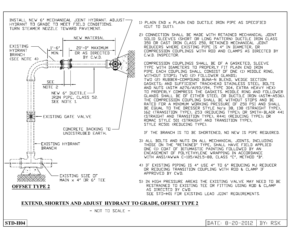INSTALL NEW 6" MECHANICAL JOINT HYDRANT, ADJUST-HYDRANT TO GRADE TO MEET FIELD CONDITIONS. TURN STEAMER NOZZLE TOWARD PAVEMENT.



- 1) PLAIN END x PLAIN END DUCTILE IRON PIPE AS SPECIFIED (CUT TO SUIT).
- 2) CONNECTION SHALL BE MADE WITH RETAINED MECHANICAL JOINT SOLID SLEEVES (SHORT OR LONG PATTERN) DUCTILE IRON CLASS 350 OR CAST IRON CLASS 250, RETAINED MECHANICAL JOINT REDUCERS WHERE EXISTING PIPE IS 4" IN DIAMETER, OR COMPRESSION COUPLINGS WITH ROD AND CLAMPS AS DIRECTED BY C.W.D. INSPECTOR.

COMPRESSION COUPLINGS SHALL BE OF A GASKETED, SLEEVE TYPE WITH DIAMETERS TO PROPERLY FIT PLAIN END IRON PIPE. EACH COUPLING SHALL CONSIST OF ONE (1) MIDDLE RING, WITHOUT STOPS; TWO (2) FOLLOWER GLANDS; TWO (2) RUBBER-COMPOUND BUNA-N BLEND, WEDGE SECTION GASKETS; AND SUFFICIENT TRACKHEAD STAINLESS STEEL BOLTS AND NUTS (ASTM A276/A193/194, TYPE 304, EXTRA HEAVY HEX) TO PROPERLY COMPRESS THE GASKETS. MIDDLE RING AND FOLLOWER GLANDS SHALL BE OF EITHER STEEL OR DUCTILE IRON (ASTM-A536). THE COMPRESSION COUPLING SHALL BE WITHOUT STOPS AND BE RATED FOR A MINIMUM WORKING PRESSURE OF 250 PSI AND SHALL BE EQUAL TO THE DRESSER STYLE No's 38, 138 (STRAIGHT TYPE), 162 (TRANSITION TYPE), 253 (REDUCING TYPE); OR SMITH-BLAIR 441 (STRAIGHT AND TRANSITION TYPE), R441 (REDUCING TYPE); OR ROMAC STYLE 501 (STRAIGHT AND TRANSITION TYPE), STYLE RC501 (REDUCING TYPE).

IF THE BRANCH IS TO BE SHORTENED, NO NEW IS PIPE REQUIRED.

- 3) ALL BOLTS AND NUTS ON ALL MECHANICAL JOINTS, INCLUDING THOSE ON THE "RETAINED" TYPE, SHALL HAVE FIELD APPLIED ONE (1) COAT OF BITUMASTIC PAINTING FOLLOWED BY AN ENCASEMENT OF POLYETHYLENE WRAPPING IN ACCORDANCE WITH ANSI/AWWA C-105/A21.5-88, CLASS "C", METHOD "B".
- 4) IF EXISTING PIPING IS 4" USE 4" TO 6" REDUCING MJ REDUCER OR REDUCING TRANSITION COUPLING WITH ROD & CLAMP IF APPROVED BY CWD.
- 5) IN HIGH PRESSURE AREAS THE EXISTING VALVE MAY NEED TO BE RESTRAINED TO EXISTING TEE OR FITTING USING ROD & CLAMP AS DIRECTED BY CWD. SEE STD-H01 FOR EXISTING LEAD JOINT REQUIREMENTS.

## **EXTEND, SHORTEN AND ADJUST HYDRANT TO GRADE, OFFSET TYPE 2**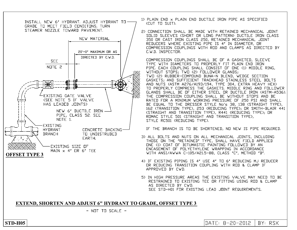INSTALL NEW 6" HYDRANT, ADJUST HYDRANT TO-GRADE TO MEET FIELD CONDITONS, TURN STEAMER NOZZLE TOWARD PAVEMENT.



1) PLAIN END x PLAIN END DUCTILE IRON PIPE AS SPECIFIED (CUT TO SUIT).

2) CONNECTION SHALL BE MADE WITH RETAINED MECHANICAL JOINT SOLID SLEEVES (SHORT OR LONG PATTERN) DUCTILE IRON CLASS 350 OR CAST IRON CLASS 250, RETAINED MECHANICAL JOINT REDUCERS WHERE EXISTING PIPE IS 4" IN DIAMETER, OR COMPRESSION COUPLINGS WITH ROD AND CLAMPS AS DIRECTED BY C.W.D. INSPECTOR.

COMPRESSION COUPLINGS SHALL BE OF A GASKETED, SLEEVE TYPE WITH DIAMETERS TO PROPERLY FIT PLAIN END IRON PIPE, EACH COUPLING SHALL CONSIST OF ONE (1) MIDDLE RING, WITHOUT STOPS; TWO (2) FOLLOWER GLANDS; TWO (2) RUBBER-COMPOUND BUNA-N BLEND, WEDGE SECTION GASKETS; AND SUFFICIENT TRACKHEAD STAINLESS STEEL BOLTS AND NUTS (ASTM A276/A193/194, TYPE 304, EXTRA HEAVY HEX) TO PROPERLY COMPRESS THE GASKETS, MIDDLE RING AND FOLLOWER GLANDS SHALL BE OF EITHER STEEL OR DUCTILE IRON (ASTM-A536). THE COMPRESSION COUPLING SHALL BE WITHOUT STOPS AND BE RATED FOR A MINIMUM WORKING PRESSURE OF 250 PSI AND SHALL BE EQUAL TO THE DRESSER STYLE No's 38, 138 (STRAIGHT TYPE), 162 (TRANSITION TYPE), 253 (REDUCING TYPE); OR SMITH-BLAIR 441 (STRAIGHT AND TRANSITION TYPE), R441 (REDUCING TYPE); OR ROMAC STYLE 501 (STRAIGHT AND TRANSITION TYPE), STYLE RC501 (REDUCING TYPE).

IF THE BRANCH IS TO BE SHORTENED, NO NEW IS PIPE REQUIRED.

- 3) ALL BOLTS AND NUTS ON ALL MECHANICAL JOINTS, INCLUDING THOSE ON THE "RETAINED" TYPE, SHALL HAVE FIELD APPLIED ONE (1) COAT OF BITUMASTIC PAINTING FOLLOWED BY AN ENCASEMENT OF POLYETHYLENE WRAPPING IN ACCORDANCE WITH ANSI/AWWA C-105/A21.5-88, CLASS "C", METHOD "B".
- 4) IF EXISTING PIPING IS 4" USE 4" TO 6" REDUCING MJ REDUCER OR REDUCING TRANSITION COUPLING WITH ROD & CLAMP IF APPROVED BY CWD.
- 5) IN HIGH PRESSURE AREAS THE EXISTING VALVE MAY NEED TO BE RESTRAINED TO EXISTING TEE OR FITTING USING ROD & CLAMP AS DIRECTED BY CWD. SEE STD-H01 FOR EXISTING LEAD JOINT REQUIREMENTS.

#### **EXTEND, SHORTEN AND ADJUST 6" HYDRANT TO GRADE, OFFSET TYPE 3**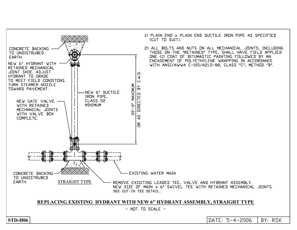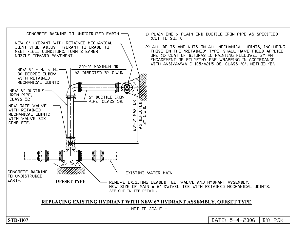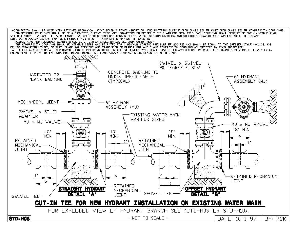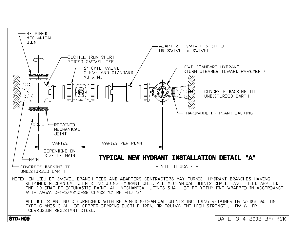

TYPE GLANDS SHALL BE COPPER-BEARING DUCTILE IRON, OR EQUIVALENT HIGH STRENGTH, LOW ALLOY CORROSION RESISTANT STEEL.

STD-HO9

DATE: 3-4-2002 BY: RSK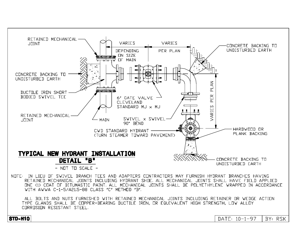

CORROSION RESISTANT STEEL.

STD-H10

DATE: 10-1-97 BY: RSK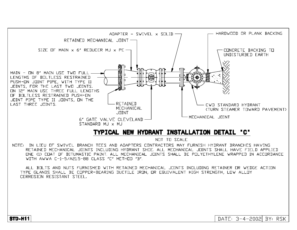![](_page_11_Figure_0.jpeg)

# TYPICAL NEW HYDRANT INSTALLATION DETAIL "C"

NOT TO SCALE

DATE: 3-4-2002 BY: RSK

NOTE: IN LIEU OF SWIVEL BRANCH TEES AND ADAPTERS CONTRACTORS MAY FURNISH HYDRANT BRANCHES HAVING RETAINED MECHANICAL JOINTS INCLUDING HYDRANT SHOE, ALL MECHANICAL JOINTS SHALL HAVE FIELD APPLIED ONE (1) COAT OF BITUMASTIC PAINT. ALL MECHANICAL JOINTS SHALL BE POLYETHYLENE WRAPPED IN ACCORDANCE WITH AWWA C-1-5/A21.5-88 CLASS "C" METHOD "B".

ALL BOLTS AND NUTS FURNISHED WITH RETAINED MECHANICAL JOINTS INCLUDING RETAINER OR WEDGE ACTION TYPE GLANDS SHALL BE COPPER-BEARING DUCTILE IRON, OR EQUIVALENT HIGH STRENGTH, LOW ALLOY CORROSION RESISTANT STEEL.

**STD-H11**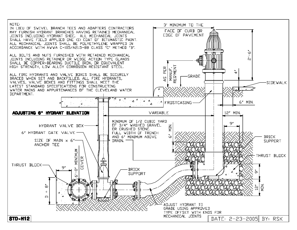![](_page_12_Figure_0.jpeg)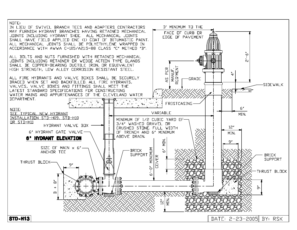![](_page_13_Figure_0.jpeg)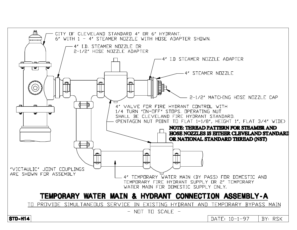![](_page_14_Figure_0.jpeg)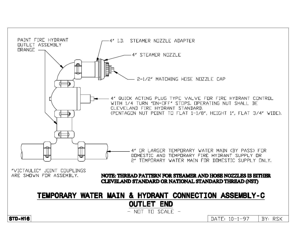![](_page_15_Figure_0.jpeg)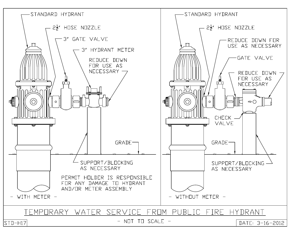![](_page_16_Figure_0.jpeg)